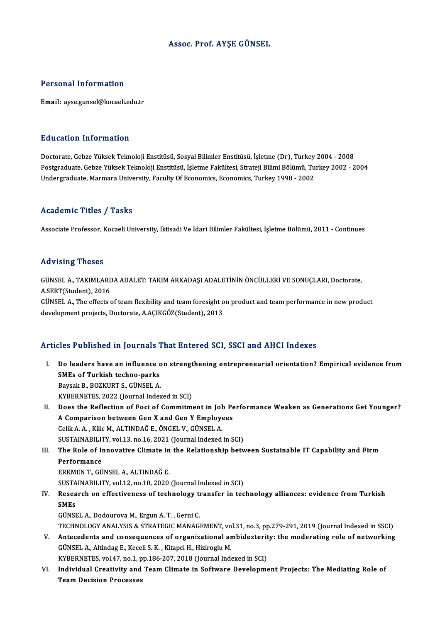#### Assoc. Prof. AYŞE GÜNSEL

#### Personal Information

Email: ayse.gunsel@kocaeli.edu.tr

#### Education Information

**Education Information<br>Doctorate, Gebze Yüksek Teknoloji Enstitüsü, Sosyal Bilimler Enstitüsü, İşletme (Dr), Turkey 2004 - 2008<br>Postaraduata Cebze Yüksek Teknoloji Enstitüsü, İslatme Fakültesi, Stratoji Bilimi Bölümü, Turk** Postgraduate, Gebze Yüksek Teknoloji Enstitüsü, İşletme Fakültesi, Strateji Bilimi Bölümü, Turkey 2002 - 2004<br>Undergraduate, Marmara University, Faculty Of Economics, Economics, Turkey 1998 - 2002 Doctorate, Gebze Yüksek Teknoloji Enstitüsü, Sosyal Bilimler Enstitüsü, İşletme (Dr), Turkey<br>Postgraduate, Gebze Yüksek Teknoloji Enstitüsü, İşletme Fakültesi, Strateji Bilimi Bölümü, Tu<br>Undergraduate, Marmara University,

#### Academic Titles / Tasks

Associate Professor, Kocaeli University, İktisadi Ve İdari Bilimler Fakültesi, İşletme Bölümü, 2011 - Continues

#### Advising Theses

Advising Theses<br>GÜNSEL A., TAKIMLARDA ADALET: TAKIM ARKADAŞI ADALETİNİN ÖNCÜLLERİ VE SONUÇLARI, Doctorate,<br>A SERT(Student), 2016 ARA VISING THESES<br>GÜNSEL A., TAKIMLARE<br>A.SERT(Student), 2016<br>CÜNSEL A. The effects c GÜNSEL A., TAKIMLARDA ADALET: TAKIM ARKADAŞI ADALETİNİN ÖNCÜLLERİ VE SONUÇLARI, Doctorate,<br>A.SERT(Student), 2016<br>GÜNSEL A., The effects of team flexibility and team foresight on product and team performance in new product<br>

A.SERT(Student), 2016<br>GÜNSEL A., The effects of team flexibility and team foresight o<br>development projects, Doctorate, A.AÇIKGÖZ(Student), 2013

# development projects, Doctorate, A.AÇIKGÖZ(Student), 2013<br>Articles Published in Journals That Entered SCI, SSCI and AHCI Indexes

- rticles Published in Journals That Entered SCI, SSCI and AHCI Indexes<br>I. Do leaders have an influence on strengthening entrepreneurial orientation? Empirical evidence from<br>SMEs of Turkish tashno parks SMES TUDING THE SMERGE TO BE THE SMES OF TURKISH TECHNOLOGY BETWEEN A PARAMETER A Do leaders have an influence o<br>SMEs of Turkish techno-parks<br>Baysak B., BOZKURT S., GÜNSEL A.<br>EXPERNETES 2022 (Journal Inder SMEs of Turkish techno-parks<br>Baysak B., BOZKURT S., GÜNSEL A.<br>KYBERNETES, 2022 (Journal Indexed in SCI) Baysak B., BOZKURT S., GÜNSEL A.<br>I . WYBERNETES, 2022 (Journal Indexed in SCI)<br>II. Does the Reflection of Foci of Commitment in Job Performance Weaken as Generations Get Younger?
- KYBERNETES, 2022 (Journal Indexed in SCI)<br>Does the Reflection of Foci of Commitment in Job Pe<br>A Comparison between Gen X and Gen Y Employees Does the Reflection of Foci of Commitment in John<br>A Comparison between Gen X and Gen Y Employe<br>Celik A.A., Kilic M., ALTINDAĞ E., ÖNGEL V., GÜNSEL A. A Comparison between Gen X and Gen Y Employees<br>Celik A. A. , Kilic M., ALTINDAĞ E., ÖNGEL V., GÜNSEL A.<br>SUSTAINABILITY, vol.13, no.16, 2021 (Journal Indexed in SCI)<br>The Pole of Inneyative Climate in the Poletianship baty Celik A. A. , Kilic M., ALTINDAĞ E., ÖNGEL V., GÜNSEL A.<br>SUSTAINABILITY, vol.13, no.16, 2021 (Journal Indexed in SCI)<br>III. The Role of Innovative Climate in the Relationship between Sustainable IT Capability and Firm<br>P

**SUSTAINABILIT<br>The Role of In<br>Performance**<br>EPKMEN T. CÜ ERKMENT.,GÜNSELA.,ALTINDAĞE. ERKMEN T., GÜNSEL A., ALTINDAĞ E.<br>SUSTAINABILITY, vol.12, no.10, 2020 (Journal Indexed in SCI)<br>IV. Research on effectiveness of technology transfer in technology alliances: evidence from Turkish<br>SMEs

- SUSTAINABILITY, vol.12, no.10, 2020 (Journal Indexed in SCI)
- SUSTA<br><mark>Resea</mark><br>SMEs<br>Cünst Research on effectiveness of technology th<br>SMEs<br>GÜNSEL A., Dodourova M., Ergun A. T. , Gerni C.<br>TECHNOLOCY ANALYSIS & STRATECIC MANACI

SMEs<br>GÜNSEL A., Dodourova M., Ergun A. T. , Gerni C.<br>TECHNOLOGY ANALYSIS & STRATEGIC MANAGEMENT, vol.31, no.3, pp.279-291, 2019 (Journal Indexed in SSCI) GÜNSEL A., Dodourova M., Ergun A. T. , Gerni C.<br>TECHNOLOGY ANALYSIS & STRATEGIC MANAGEMENT, vol.31, no.3, pp.279-291, 2019 (Journal Indexed in SSCI)<br>V. Antecedents and consequences of organizational ambidexterity: the mode

- TECHNOLOGY ANALYSIS & STRATEGIC MANAGEMENT, vo<br>Antecedents and consequences of organizational are<br>GÜNSEL A., Altindag E., Keceli S. K. , Kitapci H., Hiziroglu M.<br>KYREPNETES vol.47, po.1, pp.196-207, 2019 (Journal Inde Antecedents and consequences of organizational ambidexterit<br>GÜNSEL A., Altindag E., Keceli S. K. , Kitapci H., Hiziroglu M.<br>KYBERNETES, vol.47, no.1, pp.186-207, 2018 (Journal Indexed in SCI)<br>Individual Creativity and Team GÜNSEL A., Altindag E., Keceli S. K. , Kitapci H., Hiziroglu M.<br>KYBERNETES, vol.47, no.1, pp.186-207, 2018 (Journal Indexed in SCI)<br>VI. Individual Creativity and Team Climate in Software Development Projects: The Mediating
- KYBERNETES, vol.47, no.1, p<br>Individual Creativity and<br>Team Decision Processes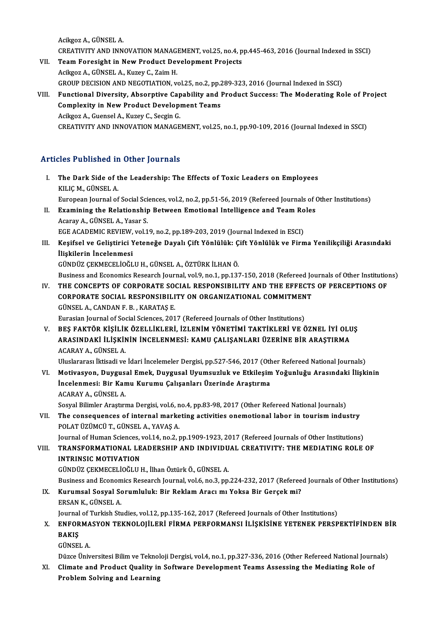AcikgozA.,GÜNSELA. Acikgoz A., GÜNSEL A.<br>CREATIVITY AND INNOVATION MANAGEMENT, vol.25, no.4, pp.445-463, 2016 (Journal Indexed in SSCI)<br>Team Eargeight in New Product Development Prejects Acikgoz A., GÜNSEL A.<br>CREATIVITY AND INNOVATION MANAGEMENT, vol.25, no.4, p<br>VII. Team Foresight in New Product Development Projects

- CREATIVITY AND INNOVATION MANAG<br>Team Foresight in New Product Dev<br>Acikgoz A., GÜNSEL A., Kuzey C., Zaim H.<br>CROUP DECISION AND NECOTIATION .v. Team Foresight in New Product Development Projects<br>Acikgoz A., GÜNSEL A., Kuzey C., Zaim H.<br>GROUP DECISION AND NEGOTIATION, vol.25, no.2, pp.289-323, 2016 (Journal Indexed in SSCI)<br>Eunctional Diversity, Absorptive Canabili Acikgoz A., GÜNSEL A., Kuzey C., Zaim H.<br>GROUP DECISION AND NEGOTIATION, vol.25, no.2, pp.289-323, 2016 (Journal Indexed in SSCI)<br>VIII. Functional Diversity, Absorptive Capability and Product Success: The Moderating Role o
- GROUP DECISION AND NEGOTIATION, vol.25, no.2, pp.2<br>Functional Diversity, Absorptive Capability and l<br>Complexity in New Product Development Teams<br>Asikser A. Cuansel A. Kuroy G. Sessin C Complexity in New Product Development Teams<br>Acikgoz A., Guensel A., Kuzey C., Secgin G. CREATIVITYANDINNOVATIONMANAGEMENT,vol.25,no.1,pp.90-109,2016 (Journal Indexed inSSCI)

#### Articles Published in Other Journals

- rticles Published in Other Journals<br>I. The Dark Side of the Leadership: The Effects of Toxic Leaders on Employees The Dark Side of the Dark Side of the Dark Side of the KILIÇ M., GÜNSEL A. KILIÇ M., GÜNSEL A.<br>European Journal of Social Sciences, vol.2, no.2, pp.51-56, 2019 (Refereed Journals of Other Institutions) KILIÇ M., GÜNSEL A.<br>European Journal of Social Sciences, vol.2, no.2, pp.51-56, 2019 (Refereed Journals of (<br>II. Examining the Relationship Between Emotional Intelligence and Team Roles European Journal of Social Sci<br>Examining the Relationship<br>Acaray A., GÜNSEL A., Yasar S.<br>ECE ACADEMIC BEVIEW vol 1
- Examining the Relationship Between Emotional Intelligence and Team Ro<br>Acaray A., GÜNSEL A., Yasar S.<br>EGE ACADEMIC REVIEW, vol.19, no.2, pp.189-203, 2019 (Journal Indexed in ESCI)<br>Kesifaal ve Calistinisi Vetanaže Daval: Cif Acaray A., GÜNSEL A., Yasar S.<br>EGE ACADEMIC REVIEW, vol.19, no.2, pp.189-203, 2019 (Journal Indexed in ESCI)<br>III. Keşifsel ve Geliştirici Yeteneğe Dayalı Çift Yönlülük: Çift Yönlülük ve Firma Yenilikçiliği Arasındaki<br>İ
- EGE ACADEMIC REVIEW,<br>Keşifsel ve Geliştirici Y<br>İlişkilerin İncelenmesi<br>CÜNDÜZ CEKMECELİQÖL Keşifsel ve Geliştirici Yeteneğe Dayalı Çift Yönlülük: Ç<br>İlişkilerin İncelenmesi<br>GÜNDÜZ ÇEKMECELİOĞLU H., GÜNSEL A., ÖZTÜRK İLHAN Ö.<br>Pusiness and Esenemiss Besearsk Jeurnal vol 9 ne 1 nn 13. İlişkilerin İncelenmesi<br>GÜNDÜZ ÇEKMECELİOĞLU H., GÜNSEL A., ÖZTÜRK İLHAN Ö.<br>Business and Economics Research Journal, vol.9, no.1, pp.137-150, 2018 (Refereed Journals of Other Institutions)
- GÜNDÜZ ÇEKMECELİOĞLU H., GÜNSEL A., ÖZTÜRK İLHAN Ö.<br>Business and Economics Research Journal, vol.9, no.1, pp.137-150, 2018 (Refereed Journals of Other Institution<br>IV. THE CONCEPTS OF CORPORATE SOCIAL RESPONSIBILITY AND THE Business and Economics Research Journal, vol.9, no.1, pp.137-150, 2018 (Refereed Jo<br>THE CONCEPTS OF CORPORATE SOCIAL RESPONSIBILITY AND THE EFFECTS<br>CORPORATE SOCIAL RESPONSIBILITY ON ORGANIZATIONAL COMMITMENT THE CONCEPTS OF CORPORATE SO<br>CORPORATE SOCIAL RESPONSIBILI<br>GÜNSEL A., CANDAN F. B. , KARATAŞ E.<br>Eurosian Journal of Social Sciences, 201 CORPORATE SOCIAL RESPONSIBILITY ON ORGANIZATIONAL COMMITMENT<br>GÜNSEL A., CANDAN F. B. , KARATAŞ E.<br>Eurasian Journal of Social Sciences, 2017 (Refereed Journals of Other Institutions)

GÜNSEL A., CANDAN F. B. , KARATAŞ E.<br>Eurasian Journal of Social Sciences, 2017 (Refereed Journals of Other Institutions)<br>V. BEŞ FAKTÖR KİŞİLİK ÖZELLİKLERİ, İZLENİM YÖNETİMİ TAKTİKLERİ VE ÖZNEL İYİ OLUŞ<br>ARASINDAKİ İJ İSKİNİ Eurasian Journal of Social Sciences, 2017 (Refereed Journals of Other Institutions)<br>BEŞ FAKTÖR KİŞİLİK ÖZELLİKLERİ, İZLENİM YÖNETİMİ TAKTİKLERİ VE ÖZNEL İYİ OLU<br>ARASINDAKİ İLİŞKİNİN İNCELENMESİ: KAMU ÇALIŞANLARI ÜZERİNE Bİ ARASINDAKİ İLİŞKİNİN İNCELENMESİ: KAMU ÇALIŞANLARI ÜZERİNE BİR ARAŞTIRMA<br>ACARAY A., GÜNSEL A. ARASINDAKİ İLİŞKİNİN İNCELENMESİ: KAMU ÇALIŞANLARI ÜZERİNE BİR ARAŞTIRMA<br>ACARAY A., GÜNSEL A.<br>Uluslararası İktisadi ve İdari İncelemeler Dergisi, pp.527-546, 2017 (Other Refereed National Journals)<br>Matiyasyan, Duygusal Ema

- ACARAY A., GÜNSEL A.<br>Uluslararası İktisadi ve İdari İncelemeler Dergisi, pp.527-546, 2017 (Other Refereed National Journals)<br>VI. Motivasyon, Duygusal Emek, Duygusal Uyumsuzluk ve Etkileşim Yoğunluğu Arasındaki İlişkinin<br>İn Uluslararası İktisadi ve İdari İncelemeler Dergisi, pp.527-546, 2017 (Oth<br>Motivasyon, Duygusal Emek, Duygusal Uyumsuzluk ve Etkileşim<br>İncelenmesi: Bir Kamu Kurumu Çalışanları Üzerinde Araştırma<br>ACARAYA CÜNSELA Motivasyon, Duygus.<br>İncelenmesi: Bir Kan<br>ACARAY A., GÜNSEL A.<br>Seavel Bilimler Arastar İncelenmesi: Bir Kamu Kurumu Çalışanları Üzerinde Araştırma<br>ACARAY A., GÜNSEL A.<br>Sosyal Bilimler Araştırma Dergisi, vol.6, no.4, pp.83-98, 2017 (Other Refereed National Journals) ACARAY A., GÜNSEL A.<br>Sosyal Bilimler Araştırma Dergisi, vol.6, no.4, pp.83-98, 2017 (Other Refereed National Journals)<br>VII. The consequences of internal marketing activities onemotional labor in tourism industry<br>POLAT ÜZÜM
- Sosyal Bilimler Araştırma Dergisi, vol.6, n<br>The consequences of internal marke<br>POLAT ÜZÜMCÜ T., GÜNSEL A., YAVAŞ A.<br>Journal of Human Sciences vol.14, no.2, r The consequences of internal marketing activities onemotional labor in tourism industry<br>POLAT ÜZÜMCÜ T., GÜNSEL A., YAVAŞ A.<br>Journal of Human Sciences, vol.14, no.2, pp.1909-1923, 2017 (Refereed Journals of Other Instituti

POLAT ÜZÜMCÜ T., GÜNSEL A., YAVAŞ A.<br>Journal of Human Sciences, vol.14, no.2, pp.1909-1923, 2017 (Refereed Journals of Other Institutions)<br>VIII. TRANSFORMATIONAL LEADERSHIP AND INDIVIDUAL CREATIVITY: THE MEDIATING ROLE Journal of Human Sciences,<br>TRANSFORMATIONAL LE<br>INTRINSIC MOTIVATION<br>CÜNDÜZ CEKMECELİOČLU L TRANSFORMATIONAL LEADERSHIP AND INDIVIDU<br>INTRINSIC MOTIVATION<br>GÜNDÜZ ÇEKMECELİOĞLU H., İlhan Öztürk Ö., GÜNSEL A.<br>Business and Esenamiss Besearsh Journal val 6, no.3, nn INTRINSIC MOTIVATION<br>GÜNDÜZ ÇEKMECELİOĞLU H., İlhan Öztürk Ö., GÜNSEL A.<br>Business and Economics Research Journal, vol.6, no.3, pp.224-232, 2017 (Refereed Journals of Other Institutions)<br>Kunumaal Sosyal Sonumlululu Bir Bakl

- GÜNDÜZ ÇEKMECELİOĞLU H., İlhan Öztürk Ö., GÜNSEL A.<br>Business and Economics Research Journal, vol.6, no.3, pp.224-232, 2017 (Referee<br>IX. Kurumsal Sosyal Sorumluluk: Bir Reklam Aracımı Yoksa Bir Gerçek mi?<br>ERSAN K. GÜNSEL A Business and Econom<br>Kurumsal Sosyal So<br>ERSAN K., GÜNSEL A.<br>Journal of Turkish St. Kurumsal Sosyal Sorumluluk: Bir Reklam Aracı mı Yoksa Bir Gerçek mi?<br>ERSAN K., GÜNSEL A.<br>Journal of Turkish Studies, vol.12, pp.135-162, 2017 (Refereed Journals of Other Institutions)<br>ENEODMASYON TEKNOLOULEDLEIDMA BEREORMA
- ERSAN K., GÜNSEL A.<br>Journal of Turkish Studies, vol.12, pp.135-162, 2017 (Refereed Journals of Other Institutions)<br>X. ENFORMASYON TEKNOLOJİLERİ FİRMA PERFORMANSI İLİŞKİSİNE YETENEK PERSPEKTİFİNDEN BİR<br>RAKIS Journal<br><mark>ENFOR</mark><br>BAKIŞ<br>GÜNSEL ENFORMA<br>BAKIŞ<br>GÜNSEL A. BAKIŞ<br>GÜNSEL A.<br>Düzce Üniversitesi Bilim ve Teknoloji Dergisi, vol.4, no.1, pp.327-336, 2016 (Other Refereed National Journals)<br>Climate and Brodust Quality in Software Dovelopment Teams Assessing the Modiating Bole of
	-

GÜNSEL A.<br>Düzce Üniversitesi Bilim ve Teknoloji Dergisi, vol.4, no.1, pp.327-336, 2016 (Other Refereed National Journ<br>XI. Climate and Product Quality in Software Development Teams Assessing the Mediating Role of Düzce Üniversitesi Bilim ve Teknol<br>Climate and Product Quality in<br>Problem Solving and Learning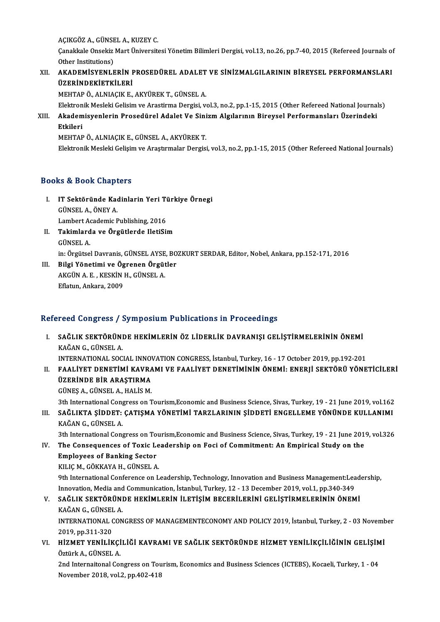AÇIKGÖZ A., GÜNSEL A., KUZEY C.<br>Canakkala Onsakir Mart Üniversit

AÇIKGÖZ A., GÜNSEL A., KUZEY C.<br>Çanakkale Onsekiz Mart Üniversitesi Yönetim Bilimleri Dergisi, vol.13, no.26, pp.7-40, 2015 (Refereed Journals of AÇIKGÖZ A., GÜNSE<br>Çanakkale Onsekiz<br>Other Institutions)<br>AKADEMİSYENI E Canakkale Onsekiz Mart Üniversitesi Yönetim Bilimleri Dergisi, vol.13, no.26, pp.7-40, 2015 (Refereed Journals of<br>Other Institutions)<br>XII. AKADEMİSYENLERİN PROSEDÜREL ADALET VE SİNİZMALGILARININ BİREYSEL PERFORMANSLARI

## Other Institutions)<br>XII. AKADEMİSYENLERİN PROSEDÜREL ADALET VE SİNİZMALGILARININ BİREYSEL PERFORMANSLARI<br>ÜZERİNDEKİETKİLERİ

MEHTAPÖ.,ALNIAÇIKE.,AKYÜREKT.,GÜNSELA.

<mark>ÜZERİNDEKİETKİLERİ</mark><br>MEHTAP Ö., ALNIAÇIK E., AKYÜREK T., GÜNSEL A.<br>Elektronik Mesleki Gelisim ve Arastirma Dergisi, vol.3, no.2, pp.1-15, 2015 (Other Refereed National Journals)<br>Akademisyonlerin Presedürel Adelet Ve Sinirm

XIII. Akademisyenlerin Prosedürel Adalet Ve Sinizm Algılarının Bireysel Performansları Üzerindeki<br>Etkileri Elektron<br><mark>Akadem</mark><br>Etkileri<br>MEUTAB

MEHTAPÖ.,ALNIAÇIKE.,GÜNSELA.,AKYÜREKT.

Elektronik Mesleki Gelişim ve Araştırmalar Dergisi, vol.3, no.2, pp.1-15, 2015 (Other Refereed National Journals)

#### Books&Book Chapters

- ooks & Book Chapters<br>I. IT Sektöründe Kadinlarin Yeri Türkiye Örnegi<br>CÜNSEL A ÖNEY A GÜNSELA.,ÖNEYA. IT Sektöründe Kadinlarin Yeri Ti<br>GÜNSEL A., ÖNEY A.<br>Lambert Academic Publishing, 2016<br>Takimlanda ve Öngütlanda HatiSu Lambert Academic Publishing, 2016
- II. Takimlarda ve Örgütlerde IletiSim<br>GÜNSEL A. Takimlarda ve Örgütlerde IletiSim<br>GÜNSEL A.<br>in: Örgütsel Davranis, GÜNSEL AYSE, BOZKURT SERDAR, Editor, Nobel, Ankara, pp.152-171, 2016<br>Bilgi Vönetimi ve Ögrenen Örgütler.

III. Bilgi Yönetimi ve Ögrenen Örgütler<br>AKGÜN A.E., KESKİN H., GÜNSEL A. in: Örgütsel Davranis, GÜNSEL AYSE<br>Bilgi Yönetimi ve Ögrenen Örgüt<br>AKGÜN A. E. , KESKİN H., GÜNSEL A.<br>Eflatun Ankara 2000 Eflatun, Ankara, 2009

#### Refereed Congress / Symposium Publications in Proceedings

efereed Congress / Symposium Publications in Proceedings<br>I. SAĞLIK SEKTÖRÜNDE HEKİMLERİN ÖZ LİDERLİK DAVRANIŞI GELİŞTİRMELERİNİN ÖNEMİ 1994 GÖLET 988 / .<br>SAĞLIK SEKTÖRÜNI<br>KAĞAN G., GÜNSEL A. SAĞLIK SEKTÖRÜNDE HEKİMLERİN ÖZ LİDERLİK DAVRANIŞI GELİŞTİRMELERİNİN ÖNEMİ<br>KAĞAN G., GÜNSEL A.<br>INTERNATIONAL SOCIAL INNOVATION CONGRESS, İstanbul, Turkey, 16 - 17 October 2019, pp.192-201<br>EAALIYET DENETIMI KAVPAMI VE EAALI

KAĞAN G., GÜNSEL A.<br>INTERNATIONAL SOCIAL INNOVATION CONGRESS, İstanbul, Turkey, 16 - 17 October 2019, pp.192-201<br>II. FAALİYET DENETİMİ KAVRAMI VE FAALİYET DENETİMİNİN ÖNEMİ: ENERJİ SEKTÖRÜ YÖNETİCİLERİ<br>ÜZERİNDE BİR ARASTIR INTERNATIONAL SOCIAL INNOV<br>FAALİYET DENETİMİ KAVRA<br>ÜZERİNDE BİR ARAŞTIRMA<br>CÜNES A CÜNEFL A HALİS M FAALİYET DENETİMİ KAVRA<br>ÜZERİNDE BİR ARAŞTIRMA<br>GÜNEŞ A., GÜNSEL A., HALİS M.<br><sup>211</sup>h International Consusses on <sup>T</sup> ÜZERİNDE BİR ARAŞTIRMA<br>GÜNEŞ A., GÜNSEL A., HALİS M.<br>3th International Congress on Tourism,Economic and Business Science, Sivas, Turkey, 19 - 21 June 2019, vol.162

GÜNEŞ A., GÜNSEL A., HALİS M.<br>3th International Congress on Tourism,Economic and Business Science, Sivas, Turkey, 19 - 21 June 2019, vol.162<br>III. SAĞLIKTA ŞİDDET: ÇATIŞMA YÖNETİMİ TARZLARININ ŞİDDETİ ENGELLEME YÖNÜNDE 3th International Cong<br>SAĞLIKTA ŞİDDET:<br>KAĞAN G., GÜNSEL A.<br><sup>2th International Cong</sup> SAĞLIKTA ŞİDDET: ÇATIŞMA YÖNETİMİ TARZLARININ ŞİDDETİ ENGELLEME YÖNÜNDE KULLANIMI<br>KAĞAN G., GÜNSEL A.<br>3th International Congress on Tourism,Economic and Business Science, Sivas, Turkey, 19 - 21 June 2019, vol.326<br>The Conse KAĞAN G., GÜNSEL A.<br>3th International Congress on Tourism,Economic and Business Science, Sivas, Turkey, 19 - 21 June 2019, vol.326<br>IV. The Consequences of Toxic Leadership on Foci of Commitment: An Empirical Study on t

3th International Congress on To<br>The Consequences of Toxic Le<br>Employees of Banking Sector<br>FULLE M. GÖRRAYA H. GÜNSEL A The Consequences of Toxic Le<br>Employees of Banking Sector<br>KILIÇ M., GÖKKAYA H., GÜNSEL A.<br><sup>Oth International Conference on L</sup>

Employees of Banking Sector<br>KILIÇ M., GÖKKAYA H., GÜNSEL A.<br>9th International Conference on Leadership, Technology, Innovation and Business Management:Leadership,<br>Innovation Media and Communisation, Istanbul, Turkey, 12, 1 KILIÇ M., GÖKKAYA H., GÜNSEL A.<br>9th International Conference on Leadership, Technology, Innovation and Business Management:Lea<br>Innovation, Media and Communication, İstanbul, Turkey, 12 - 13 December 2019, vol.1, pp.340-349 Innovation, Media and Communication, İstanbul, Turkey, 12 - 13 December 2019, vol.1, pp.340-349

### V. SAĞLIK SEKTÖRÜNDE HEKİMLERİN İLETİŞİM BECERİLERİNİ GELİŞTİRMELERİNİN ÖNEMİ<br>KAĞAN G., GÜNSEL A. SAĞLIK SEKTÖRÜNDE HEKİMLERİN İLETİŞİM BECERİLERİNİ GELİŞTİRMELERİNİN ÖNEMİ<br>KAĞAN G., GÜNSEL A.<br>INTERNATIONAL CONGRESS OF MANAGEMENTECONOMY AND POLICY 2019, İstanbul, Turkey, 2 - 03 November<br>2019 np.211.220

KAĞAN G., GÜNSE<mark>I</mark><br>INTERNATIONAL (<br>2019, pp.311-320<br>HİZMET YENİL İK INTERNATIONAL CONGRESS OF MANAGEMENTECONOMY AND POLICY 2019, İstanbul, Turkey, 2 - 03 Novemb<br>2019, pp.311-320<br>VI. HİZMET YENİLİKÇİLİĞİ KAVRAMI VE SAĞLIK SEKTÖRÜNDE HİZMET YENİLİKÇILİĞİNİN GELİŞİMİ

2019, pp.311-320<br>H**İZMET YENİLİKÇİ**<br>Öztürk A., GÜNSEL A.<br><sup>2</sup>nd Interneitenel Ce HİZMET YENİLİKÇİLİĞİ KAVRAMI VE SAĞLIK SEKTÖRÜNDE HİZMET YENİLİKÇİLİĞİNİN GELİŞİM<br>Öztürk A., GÜNSEL A.<br>2nd Internaitonal Congress on Tourism, Economics and Business Sciences (ICTEBS), Kocaeli, Turkey, 1 - 04<br>Navember 2018,

Öztürk A., GÜNSEL A.<br>2nd Internaitonal Congress on Tourism, Economics and Business Sciences (ICTEBS), Kocaeli, Turkey, 1 - 04<br>November 2018, vol.2, pp.402-418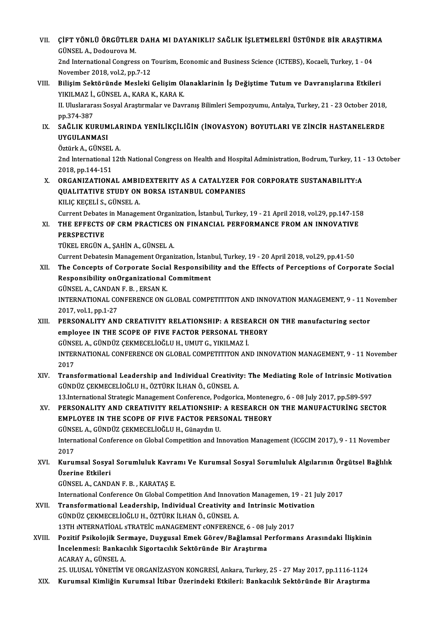| VII.   | ÇİFT YÖNLÜ ÖRGÜTLER DAHA MI DAYANIKLI? SAĞLIK İŞLETMELERİ ÜSTÜNDE BİR ARAŞTIRMA<br>GÜNSEL A., Dodourova M.                                                                                                                                              |
|--------|---------------------------------------------------------------------------------------------------------------------------------------------------------------------------------------------------------------------------------------------------------|
|        | 2nd International Congress on Tourism, Economic and Business Science (ICTEBS), Kocaeli, Turkey, 1 - 04<br>November 2018, vol 2, pp.7-12                                                                                                                 |
| VIII.  | Bilişim Sektöründe Mesleki Gelişim Olanaklarinin İş Değiştime Tutum ve Davranışlarına Etkileri<br>YIKILMAZ İ., GÜNSEL A., KARA K., KARA K.                                                                                                              |
|        | II. Uluslararası Sosyal Araştırmalar ve Davranış Bilimleri Sempozyumu, Antalya, Turkey, 21 - 23 October 2018,<br>pp 374-387                                                                                                                             |
| IX.    | SAĞLIK KURUMLARINDA YENİLİKÇİLİĞİN (İNOVASYON) BOYUTLARI VE ZİNCİR HASTANELERDE<br>UYGULANMASI                                                                                                                                                          |
|        | Öztürk A., GÜNSEL A.<br>2nd International 12th National Congress on Health and Hospital Administration, Bodrum, Turkey, 11 - 13 October<br>2018, pp 144-151                                                                                             |
| X.     | ORGANIZATIONAL AMBIDEXTERITY AS A CATALYZER FOR CORPORATE SUSTANABILITY:A<br>QUALITATIVE STUDY ON BORSA ISTANBUL COMPANIES                                                                                                                              |
| XI.    | KILIÇ KEÇELİ S., GÜNSEL A.<br>Current Debates in Management Organization, İstanbul, Turkey, 19 - 21 April 2018, vol.29, pp.147-158<br>THE EFFECTS OF CRM PRACTICES ON FINANCIAL PERFORMANCE FROM AN INNOVATIVE                                          |
|        | <b>PERSPECTIVE</b><br>TÜKEL ERGÜN A., ŞAHİN A., GÜNSEL A.                                                                                                                                                                                               |
| XII.   | Current Debatesin Management Organization, İstanbul, Turkey, 19 - 20 April 2018, vol.29, pp.41-50<br>The Concepts of Corporate Social Responsibility and the Effects of Perceptions of Corporate Social<br>Responsibility onOrganizational Commitment   |
|        | GÜNSEL A., CANDAN F. B., ERSAN K.<br>INTERNATIONAL CONFERENCE ON GLOBAL COMPETITITON AND INNOVATION MANAGEMENT, 9 - 11 November                                                                                                                         |
| XIII.  | 2017, vol 1, pp 1-27<br>PERSONALITY AND CREATIVITY RELATIONSHIP: A RESEARCH ON THE manufacturing sector<br>employee IN THE SCOPE OF FIVE FACTOR PERSONAL THEORY<br>GÜNSEL A., GÜNDÜZ ÇEKMECELİOĞLU H., UMUT G., YIKILMAZ İ.                             |
|        | INTERNATIONAL CONFERENCE ON GLOBAL COMPETITITON AND INNOVATION MANAGEMENT, 9 - 11 November<br>2017                                                                                                                                                      |
| XIV.   | Transformational Leadership and Individual Creativity: The Mediating Role of Intrinsic Motivation<br>GÜNDÜZ ÇEKMECELİOĞLU H., ÖZTÜRK İLHAN Ö., GÜNSEL A.                                                                                                |
| XV.    | 13.International Strategic Management Conference, Podgorica, Montenegro, 6 - 08 July 2017, pp.589-597<br>PERSONALITY AND CREATIVITY RELATIONSHIP: A RESEARCH ON THE MANUFACTURING SECTOR<br><b>EMPLOYEE IN THE SCOPE OF FIVE FACTOR PERSONAL THEORY</b> |
|        | GÜNSEL A., GÜNDÜZ ÇEKMECELİOĞLU H., Günaydın U.<br>International Conference on Global Competition and Innovation Management (ICGCIM 2017), 9 - 11 November<br>2017                                                                                      |
| XVI.   | Kurumsal Sosyal Sorumluluk Kavramı Ve Kurumsal Sosyal Sorumluluk Algılarının Örgütsel Bağlılık<br>Üzerine Etkileri                                                                                                                                      |
|        | GÜNSEL A., CANDAN F. B., KARATAŞ E.                                                                                                                                                                                                                     |
| XVII.  | International Conference On Global Competition And Innovation Managemen, 19 - 21 July 2017<br>Transformational Leadership, Individual Creativity and Intrinsic Motivation                                                                               |
|        | GÜNDÜZ ÇEKMECELİOĞLU H., ÖZTÜRK İLHAN Ö., GÜNSEL A.                                                                                                                                                                                                     |
|        | 13TH INTERNATIOAL STRATEIC MANAGEMENT CONFERENCE, 6 - 08 July 2017                                                                                                                                                                                      |
| XVIII. | Pozitif Psikolojik Sermaye, Duygusal Emek Görev/Bağlamsal Performans Arasındaki İlişkinin<br>İncelenmesi: Bankacılık Sigortacılık Sektöründe Bir Araştırma                                                                                              |
|        | ACARAY A., GÜNSEL A.                                                                                                                                                                                                                                    |
|        | 25. ULUSAL YÖNETİM VE ORGANİZASYON KONGRESİ, Ankara, Turkey, 25 - 27 May 2017, pp.1116-1124                                                                                                                                                             |
| XIX.   | Kurumsal Kimliğin Kurumsal İtibar Üzerindeki Etkileri: Bankacılık Sektöründe Bir Araştırma                                                                                                                                                              |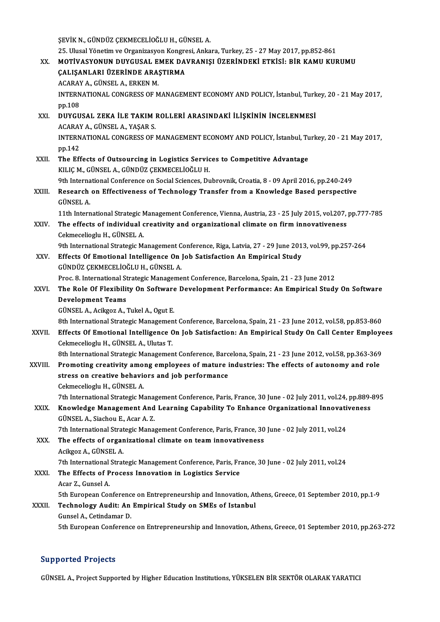ŞEVİKN.,GÜNDÜZ ÇEKMECELİOĞLUH.,GÜNSELA.

ŞEVİK N., GÜNDÜZ ÇEKMECELİOĞLU H., GÜNSEL A.<br>25. Ulusal Yönetim ve Organizasyon Kongresi, Ankara, Turkey, 25 - 27 May 2017, pp.852-861<br>XX. MOTİVASYONUN DUYGUSAL EMEK DAVRANIŞI ÜZERİNDEKİ ETKİSİ: BİR KAMU KURUMU 25. Ulusal Yönetim ve Organizasyon Kongre<br>MOTİVASYONUN DUYGUSAL EMEK DA<br>ÇALIŞANLARI ÜZERİNDE ARAŞTIRMA<br>ACARAY A ÇÜNSEL A ERKEN M MOTİVASYONUN DUYGUSAL E<br>ÇALIŞANLARI ÜZERİNDE ARA:<br>ACARAY A., GÜNSEL A., ERKEN M.<br>INTERNATIONAL CONCRESS OF M CALIŞANLARI ÜZERİNDE ARAŞTIRMA<br>ACARAY A., GÜNSEL A., ERKEN M.<br>INTERNATIONAL CONGRESS OF MANAGEMENT ECONOMY AND POLICY, İstanbul, Turkey, 20 - 21 May 2017,<br>pp.108 ACARAY A., GÜNSEL A., ERKEN M. INTERNATIONAL CONGRESS OF MANAGEMENT ECONOMY AND POLICY, İstanbul, Turk<br>pp.108<br>XXI. DUYGUSAL ZEKA İLE TAKIM ROLLERİ ARASINDAKİ İLİŞKİNİN İNCELENMESİ pp.108<br>DUYGUSAL ZEKA İLE TAKIM I<br>ACARAY A., GÜNSEL A., YAŞAR S.<br>INTERNATIONAL CONCRESS OF I DUYGUSAL ZEKA İLE TAKIM ROLLERİ ARASINDAKİ İLİŞKİNİN İNCELENMESİ<br>ACARAY A., GÜNSEL A., YAŞAR S.<br>INTERNATIONAL CONGRESS OF MANAGEMENT ECONOMY AND POLICY, İstanbul, Turkey, 20 - 21 May 2017,<br>nn 142 ACARAY<br>INTERN<br>pp.142<br>The Ff4 INTERNATIONAL CONGRESS OF MANAGEMENT ECONOMY AND POLICY, İstanbul, Tu<br>pp.142<br>XXII. The Effects of Outsourcing in Logistics Services to Competitive Advantage<br>VILLEM CÜNISELA CÜNDÜZ CEYMECELIQĞLU H pp.142<br>The Effects of Outsourcing in Logistics Servic<br>KILIÇ M., GÜNSEL A., GÜNDÜZ ÇEKMECELİOĞLU H.<br><sup>Oth Intornational Conference on Social Sciences, Du</sup> The Effects of Outsourcing in Logistics Services to Competitive Advantage<br>KILIÇ M., GÜNSEL A., GÜNDÜZ ÇEKMECELİOĞLU H.<br>9th International Conference on Social Sciences, Dubrovnik, Croatia, 8 - 09 April 2016, pp.240-249<br>Bese

25.UlusalYönetimveOrganizasyonKongresi,Ankara,Turkey,25 -27May2017,pp.852-861

KILIÇ M., GÜNSEL A., GÜNDÜZ ÇEKMECELİOĞLU H.<br>9th International Conference on Social Sciences, Dubrovnik, Croatia, 8 - 09 April 2016, pp.240-249<br>XXIII. Research on Effectiveness of Technology Transfer from a Knowledge B 9th Interna<br>Research<br>GÜNSEL A.<br>11th Intern Research on Effectiveness of Technology Transfer from a Knowledge Based perspective<br>GÜNSEL A.<br>11th International Strategic Management Conference, Vienna, Austria, 23 - 25 July 2015, vol.207, pp.777-785<br>The effects of indiv

GÜNSEL A.<br>11th International Strategic Management Conference, Vienna, Austria, 23 - 25 July 2015, vol.207,<br>XXIV. The effects of individual creativity and organizational climate on firm innovativeness<br>Cekmecelioglu H., GÜNS 11th International Strategic N<br>The effects of individual c<br>Cekmecelioglu H., GÜNSEL A. The effects of individual creativity and organizational climate on firm innovativeness<br>Cekmecelioglu H., GÜNSEL A.<br>9th International Strategic Management Conference, Riga, Latvia, 27 - 29 June 2013, vol.99, pp.257-264<br>Effe Cekmecelioglu H., GÜNSEL A.<br>9th International Strategic Management Conference, Riga, Latvia, 27 - 29 June 201<br>XXV. Effects Of Emotional Intelligence On Job Satisfaction An Empirical Study<br>CÜNDÜZ CEKMECELİQĞLU H. CÜNSEL A

9th International Strategic Management C<br>Effects Of Emotional Intelligence On <br>GÜNDÜZ ÇEKMECELİOĞLU H., GÜNSEL A.<br>Pres 9. International Strategic Manageme Effects Of Emotional Intelligence On Job Satisfaction An Empirical Study<br>GÜNDÜZ ÇEKMECELİOĞLU H., GÜNSEL A.<br>Proc. 8. International Strategic Management Conference, Barcelona, Spain, 21 - 23 June 2012<br>The Pole Of Elevibilit GÜNDÜZ ÇEKMECELİOĞLU H., GÜNSEL A.<br>Proc. 8. International Strategic Management Conference, Barcelona, Spain, 21 - 23 June 2012<br>XXVI. The Role Of Flexibility On Software Development Performance: An Empirical Study On So

### Proc. 8. International St<br>The Role Of Flexibility<br>Development Teams<br>CÜNSEL A Asikson A The Role Of Flexibility On Software<br>Development Teams<br>GÜNSEL A., Acikgoz A., Tukel A., Ogut E.<br><sup>Oth International Strategic Managemen</sub></sup> Bevelopment Teams<br>GÜNSEL A., Acikgoz A., Tukel A., Ogut E.<br>8th International Strategic Management Conference, Barcelona, Spain, 21 - 23 June 2012, vol.58, pp.853-860

GÜNSEL A., Acikgoz A., Tukel A., Ogut E.<br>8th International Strategic Management Conference, Barcelona, Spain, 21 - 23 June 2012, vol.58, pp.853-860<br>8XXVII. Effects Of Emotional Intelligence On Job Satisfaction: An Empirica Cekmecelioglu H., GÜNSEL A., Ulutas T.<br>8th International Strategic Management Conference, Barcelona, Spain, 21 - 23 June 2012, vol.58, pp.363-369 Effects Of Emotional Intelligence On Job Satisfaction: An Empirical Study On Call Center Employe<br>Cekmecelioglu H., GÜNSEL A., Ulutas T.<br>8th International Strategic Management Conference, Barcelona, Spain, 21 - 23 June 2012

XXVIII. Promoting creativity among employees of mature industries: The effects of autonomy and role 8th International Strategic Management Conference, Barc<br>Promoting creativity among employees of mature i<br>stress on creative behaviors and job performance<br>Celmeseliesh: H. CÜNSEL A Promoting creativity amo:<br>stress on creative behavio<br>Cekmecelioglu H., GÜNSEL A.<br>7th International Strategie M. stress on creative behaviors and job performance<br>Cekmecelioglu H., GÜNSEL A.<br>7th International Strategic Management Conference, Paris, France, 30 June - 02 July 2011, vol.24, pp.889-895<br>Knowledge Management And Learning Ca

## Cekmecelioglu H., GÜNSEL A.<br>7th International Strategic Management Conference, Paris, France, 30 June - 02 July 2011, vol.24, pp.889-<br>XXIX. Knowledge Management And Learning Capability To Enhance Organizational Innovativen 7th International Strategic Mana<sub>l</sub><br>Knowledge Management And<br>GÜNSEL A., Siachou E., Acar A. Z.<br><sup>7th International Strategie Mana</sup> Knowledge Management And Learning Capability To Enhance Organizational Innovati<br>GÜNSEL A., Siachou E., Acar A. Z.<br>7th International Strategic Management Conference, Paris, France, 30 June - 02 July 2011, vol.24<br>The effects

GÜNSEL A., Siachou E., Acar A. Z.<br>7th International Strategic Management Conference, Paris, France, 30<br>XXX. The effects of organizational climate on team innovativeness 7th International Strat<br>The effects of organ<br>Acikgoz A., GÜNSEL A.<br>7th International Strat The effects of organizational climate on team innovativeness<br>Acikgoz A., GÜNSEL A.<br>7th International Strategic Management Conference, Paris, France, 30 June - 02 July 2011, vol.24<br>The Effects of Progess Innovation in Logis

Acikgoz A., GÜNSEL A.<br>7th International Strategic Management Conference, Paris, Fr.<br>XXXI. The Effects of Process Innovation in Logistics Service 7th International<br>The Effects of P<br>Acar Z., Gunsel A.<br>Eth European Cor The Effects of Process Innovation in Logistics Service<br>Acar Z., Gunsel A.<br>5th European Conference on Entrepreneurship and Innovation, Athens, Greece, 01 September 2010, pp.1-9<br>Technology Audit: An Emninical Study on SMEs o Acar Z., Gunsel A.<br>5th European Conference on Entrepreneurship and Innovation, At<br>XXXII. Technology Audit: An Empirical Study on SMEs of Istanbul<br>Gunsel A., Cetindamar D.

## 5th European Conferenc<br>Technology Audit: An<br>Gunsel A., Cetindamar D.<br>Eth European Conferenc

5th European Conference on Entrepreneurship and Innovation, Athens, Greece, 01 September 2010, pp.263-272

#### Supported Projects

GÜNSEL A., Project Supported by Higher Education Institutions, YÜKSELEN BİR SEKTÖR OLARAK YARATICI